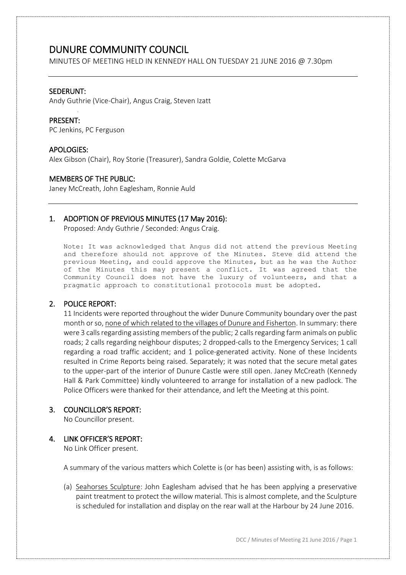MINUTES OF MEETING HELD IN KENNEDY HALL ON TUESDAY 21 JUNE 2016 @ 7.30pm

#### SEDERUNT:

Andy Guthrie (Vice-Chair), Angus Craig, Steven Izatt

#### PRESENT:

PC Jenkins, PC Ferguson

#### APOLOGIES:

Alex Gibson (Chair), Roy Storie (Treasurer), Sandra Goldie, Colette McGarva

#### MEMBERS OF THE PUBLIC:

Janey McCreath, John Eaglesham, Ronnie Auld

#### 1. ADOPTION OF PREVIOUS MINUTES (17 May 2016):

Proposed: Andy Guthrie / Seconded: Angus Craig.

Note: It was acknowledged that Angus did not attend the previous Meeting and therefore should not approve of the Minutes. Steve did attend the previous Meeting, and could approve the Minutes, but as he was the Author of the Minutes this may present a conflict. It was agreed that the Community Council does not have the luxury of volunteers, and that a pragmatic approach to constitutional protocols must be adopted.

### 2. POLICE REPORT:

11 Incidents were reported throughout the wider Dunure Community boundary over the past month or so, none of which related to the villages of Dunure and Fisherton. In summary: there were 3 calls regarding assisting members of the public; 2 calls regarding farm animals on public roads; 2 calls regarding neighbour disputes; 2 dropped-calls to the Emergency Services; 1 call regarding a road traffic accident; and 1 police-generated activity. None of these Incidents resulted in Crime Reports being raised. Separately; it was noted that the secure metal gates to the upper-part of the interior of Dunure Castle were still open. Janey McCreath (Kennedy Hall & Park Committee) kindly volunteered to arrange for installation of a new padlock. The Police Officers were thanked for their attendance, and left the Meeting at this point.

### 3. COUNCILLOR'S REPORT:

No Councillor present.

### 4. LINK OFFICER'S REPORT:

No Link Officer present.

A summary of the various matters which Colette is (or has been) assisting with, is as follows:

(a) Seahorses Sculpture: John Eaglesham advised that he has been applying a preservative paint treatment to protect the willow material. This is almost complete, and the Sculpture is scheduled for installation and display on the rear wall at the Harbour by 24 June 2016.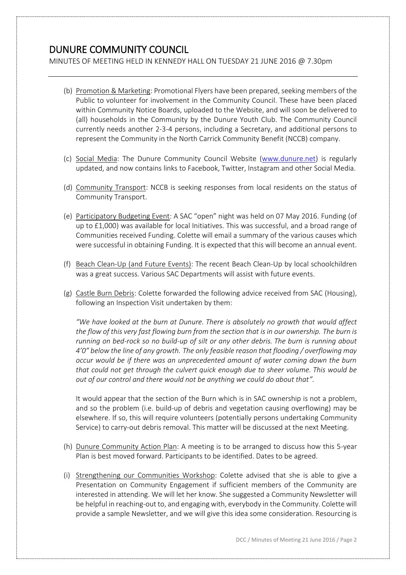MINUTES OF MEETING HELD IN KENNEDY HALL ON TUESDAY 21 JUNE 2016 @ 7.30pm

- (b) Promotion & Marketing: Promotional Flyers have been prepared, seeking members of the Public to volunteer for involvement in the Community Council. These have been placed within Community Notice Boards, uploaded to the Website, and will soon be delivered to (all) households in the Community by the Dunure Youth Club. The Community Council currently needs another 2-3-4 persons, including a Secretary, and additional persons to represent the Community in the North Carrick Community Benefit (NCCB) company.
- (c) Social Media: The Dunure Community Council Website [\(www.dunure.net\)](http://www.dunure.net/) is regularly updated, and now contains links to Facebook, Twitter, Instagram and other Social Media.
- (d) Community Transport: NCCB is seeking responses from local residents on the status of Community Transport.
- (e) Participatory Budgeting Event: A SAC "open" night was held on 07 May 2016. Funding (of up to £1,000) was available for local Initiatives. This was successful, and a broad range of Communities received Funding. Colette will email a summary of the various causes which were successful in obtaining Funding. It is expected that this will become an annual event.
- (f) Beach Clean-Up (and Future Events): The recent Beach Clean-Up by local schoolchildren was a great success. Various SAC Departments will assist with future events.
- (g) Castle Burn Debris: Colette forwarded the following advice received from SAC (Housing), following an Inspection Visit undertaken by them:

*"We have looked at the burn at Dunure. There is absolutely no growth that would affect the flow of this very fast flowing burn from the section that is in our ownership. The burn is running on bed-rock so no build-up of silt or any other debris. The burn is running about 4'0" below the line of any growth. The only feasible reason that flooding / overflowing may occur would be if there was an unprecedented amount of water coming down the burn that could not get through the culvert quick enough due to sheer volume. This would be out of our control and there would not be anything we could do about that".*

It would appear that the section of the Burn which is in SAC ownership is not a problem, and so the problem (i.e. build-up of debris and vegetation causing overflowing) may be elsewhere. If so, this will require volunteers (potentially persons undertaking Community Service) to carry-out debris removal. This matter will be discussed at the next Meeting.

- (h) Dunure Community Action Plan: A meeting is to be arranged to discuss how this 5-year Plan is best moved forward. Participants to be identified. Dates to be agreed.
- (i) Strengthening our Communities Workshop: Colette advised that she is able to give a Presentation on Community Engagement if sufficient members of the Community are interested in attending. We will let her know. She suggested a Community Newsletter will be helpful in reaching-out to, and engaging with, everybody in the Community. Colette will provide a sample Newsletter, and we will give this idea some consideration. Resourcing is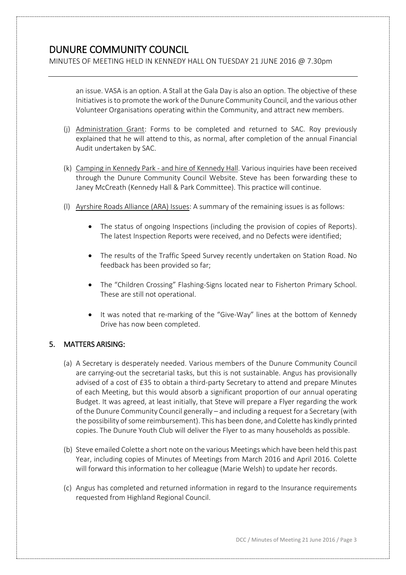MINUTES OF MEETING HELD IN KENNEDY HALL ON TUESDAY 21 JUNE 2016 @ 7.30pm

an issue. VASA is an option. A Stall at the Gala Day is also an option. The objective of these Initiatives is to promote the work of the Dunure Community Council, and the various other Volunteer Organisations operating within the Community, and attract new members.

- (j) Administration Grant: Forms to be completed and returned to SAC. Roy previously explained that he will attend to this, as normal, after completion of the annual Financial Audit undertaken by SAC.
- (k) Camping in Kennedy Park and hire of Kennedy Hall. Various inquiries have been received through the Dunure Community Council Website. Steve has been forwarding these to Janey McCreath (Kennedy Hall & Park Committee). This practice will continue.
- (l) Ayrshire Roads Alliance (ARA) Issues: A summary of the remaining issues is as follows:
	- The status of ongoing Inspections (including the provision of copies of Reports). The latest Inspection Reports were received, and no Defects were identified;
	- The results of the Traffic Speed Survey recently undertaken on Station Road. No feedback has been provided so far;
	- The "Children Crossing" Flashing-Signs located near to Fisherton Primary School. These are still not operational.
	- It was noted that re-marking of the "Give-Way" lines at the bottom of Kennedy Drive has now been completed.

### 5. MATTERS ARISING:

- (a) A Secretary is desperately needed. Various members of the Dunure Community Council are carrying-out the secretarial tasks, but this is not sustainable. Angus has provisionally advised of a cost of £35 to obtain a third-party Secretary to attend and prepare Minutes of each Meeting, but this would absorb a significant proportion of our annual operating Budget. It was agreed, at least initially, that Steve will prepare a Flyer regarding the work of the Dunure Community Council generally – and including a request for a Secretary (with the possibility of some reimbursement). This has been done, and Colette has kindly printed copies. The Dunure Youth Club will deliver the Flyer to as many households as possible.
- (b) Steve emailed Colette a short note on the various Meetings which have been held this past Year, including copies of Minutes of Meetings from March 2016 and April 2016. Colette will forward this information to her colleague (Marie Welsh) to update her records.
- (c) Angus has completed and returned information in regard to the Insurance requirements requested from Highland Regional Council.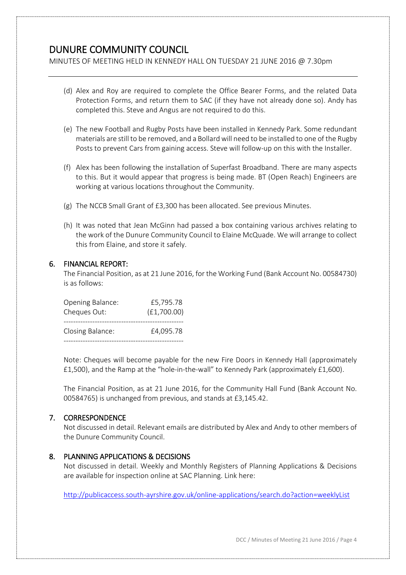MINUTES OF MEETING HELD IN KENNEDY HALL ON TUESDAY 21 JUNE 2016 @ 7.30pm

- (d) Alex and Roy are required to complete the Office Bearer Forms, and the related Data Protection Forms, and return them to SAC (if they have not already done so). Andy has completed this. Steve and Angus are not required to do this.
- (e) The new Football and Rugby Posts have been installed in Kennedy Park. Some redundant materials are still to be removed, and a Bollard will need to be installed to one of the Rugby Posts to prevent Cars from gaining access. Steve will follow-up on this with the Installer.
- (f) Alex has been following the installation of Superfast Broadband. There are many aspects to this. But it would appear that progress is being made. BT (Open Reach) Engineers are working at various locations throughout the Community.
- (g) The NCCB Small Grant of £3,300 has been allocated. See previous Minutes.
- (h) It was noted that Jean McGinn had passed a box containing various archives relating to the work of the Dunure Community Council to Elaine McQuade. We will arrange to collect this from Elaine, and store it safely.

### 6. FINANCIAL REPORT:

The Financial Position, as at 21 June 2016, for the Working Fund (Bank Account No. 00584730) is as follows:

| Opening Balance: | £5,795.78   |  |
|------------------|-------------|--|
| Cheques Out:     | (E1,700.00) |  |
|                  |             |  |
| Closing Balance: | £4,095.78   |  |
|                  |             |  |

Note: Cheques will become payable for the new Fire Doors in Kennedy Hall (approximately £1,500), and the Ramp at the "hole-in-the-wall" to Kennedy Park (approximately £1,600).

The Financial Position, as at 21 June 2016, for the Community Hall Fund (Bank Account No. 00584765) is unchanged from previous, and stands at £3,145.42.

### 7. CORRESPONDENCE

Not discussed in detail. Relevant emails are distributed by Alex and Andy to other members of the Dunure Community Council.

### 8. PLANNING APPLICATIONS & DECISIONS

Not discussed in detail. Weekly and Monthly Registers of Planning Applications & Decisions are available for inspection online at SAC Planning. Link here:

<http://publicaccess.south-ayrshire.gov.uk/online-applications/search.do?action=weeklyList>

DCC / Minutes of Meeting 21 June 2016 / Page 4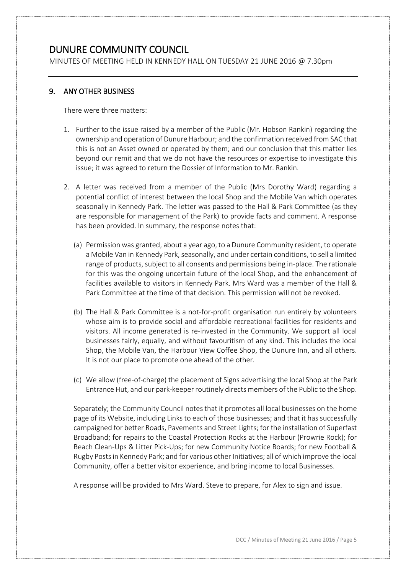MINUTES OF MEETING HELD IN KENNEDY HALL ON TUESDAY 21 JUNE 2016 @ 7.30pm

### 9. ANY OTHER BUSINESS

There were three matters:

- 1. Further to the issue raised by a member of the Public (Mr. Hobson Rankin) regarding the ownership and operation of Dunure Harbour; and the confirmation received from SAC that this is not an Asset owned or operated by them; and our conclusion that this matter lies beyond our remit and that we do not have the resources or expertise to investigate this issue; it was agreed to return the Dossier of Information to Mr. Rankin.
- 2. A letter was received from a member of the Public (Mrs Dorothy Ward) regarding a potential conflict of interest between the local Shop and the Mobile Van which operates seasonally in Kennedy Park. The letter was passed to the Hall & Park Committee (as they are responsible for management of the Park) to provide facts and comment. A response has been provided. In summary, the response notes that:
	- (a) Permission was granted, about a year ago, to a Dunure Community resident, to operate a Mobile Van in Kennedy Park, seasonally, and under certain conditions, to sell a limited range of products, subject to all consents and permissions being in-place. The rationale for this was the ongoing uncertain future of the local Shop, and the enhancement of facilities available to visitors in Kennedy Park. Mrs Ward was a member of the Hall & Park Committee at the time of that decision. This permission will not be revoked.
	- (b) The Hall & Park Committee is a not-for-profit organisation run entirely by volunteers whose aim is to provide social and affordable recreational facilities for residents and visitors. All income generated is re-invested in the Community. We support all local businesses fairly, equally, and without favouritism of any kind. This includes the local Shop, the Mobile Van, the Harbour View Coffee Shop, the Dunure Inn, and all others. It is not our place to promote one ahead of the other.
	- (c) We allow (free-of-charge) the placement of Signs advertising the local Shop at the Park Entrance Hut, and our park-keeper routinely directs members of the Public to the Shop.

Separately; the Community Council notes that it promotes all local businesses on the home page of its Website, including Links to each of those businesses; and that it has successfully campaigned for better Roads, Pavements and Street Lights; for the installation of Superfast Broadband; for repairs to the Coastal Protection Rocks at the Harbour (Prowrie Rock); for Beach Clean-Ups & Litter Pick-Ups; for new Community Notice Boards; for new Football & Rugby Posts in Kennedy Park; and for various other Initiatives; all of which improve the local Community, offer a better visitor experience, and bring income to local Businesses.

A response will be provided to Mrs Ward. Steve to prepare, for Alex to sign and issue.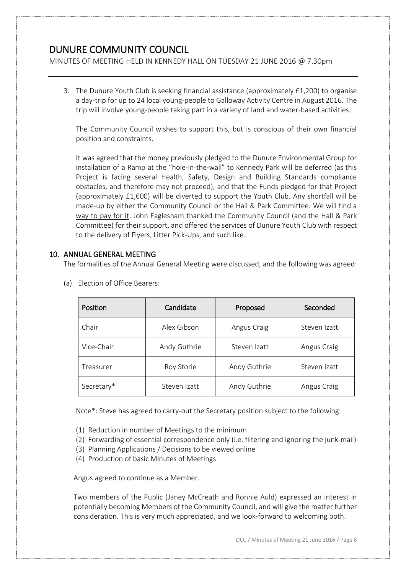MINUTES OF MEETING HELD IN KENNEDY HALL ON TUESDAY 21 JUNE 2016 @ 7.30pm

3. The Dunure Youth Club is seeking financial assistance (approximately £1,200) to organise a day-trip for up to 24 local young-people to Galloway Activity Centre in August 2016. The trip will involve young-people taking part in a variety of land and water-based activities.

The Community Council wishes to support this, but is conscious of their own financial position and constraints.

It was agreed that the money previously pledged to the Dunure Environmental Group for installation of a Ramp at the "hole-in-the-wall" to Kennedy Park will be deferred (as this Project is facing several Health, Safety, Design and Building Standards compliance obstacles, and therefore may not proceed), and that the Funds pledged for that Project (approximately £1,600) will be diverted to support the Youth Club. Any shortfall will be made-up by either the Community Council or the Hall & Park Committee. We will find a way to pay for it. John Eaglesham thanked the Community Council (and the Hall & Park Committee) for their support, and offered the services of Dunure Youth Club with respect to the delivery of Flyers, Litter Pick-Ups, and such like.

### 10. ANNUAL GENERAL MEETING

The formalities of the Annual General Meeting were discussed, and the following was agreed:

| Position   | Candidate    | Proposed     | Seconded     |
|------------|--------------|--------------|--------------|
| Chair      | Alex Gibson  | Angus Craig  | Steven Izatt |
| Vice-Chair | Andy Guthrie | Steven Izatt | Angus Craig  |
| Treasurer  | Roy Storie   | Andy Guthrie | Steven Izatt |
| Secretary* | Steven Izatt | Andy Guthrie | Angus Craig  |

(a) Election of Office Bearers:

Note\*: Steve has agreed to carry-out the Secretary position subject to the following:

- (1) Reduction in number of Meetings to the minimum
- (2) Forwarding of essential correspondence only (i.e. filtering and ignoring the junk-mail)
- (3) Planning Applications / Decisions to be viewed online
- (4) Production of basic Minutes of Meetings

Angus agreed to continue as a Member.

Two members of the Public (Janey McCreath and Ronnie Auld) expressed an interest in potentially becoming Members of the Community Council, and will give the matter further consideration. This is very much appreciated, and we look-forward to welcoming both.